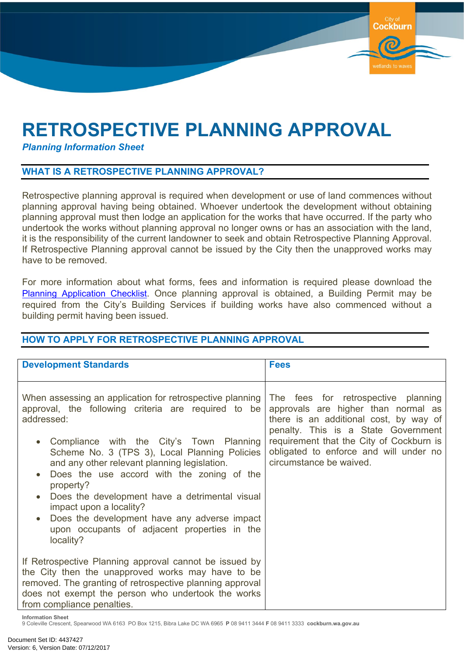## **RETROSPECTIVE PLANNING APPROVAL**

*Planning Information Sheet*

## **WHAT IS A RETROSPECTIVE PLANNING APPROVAL?**

Retrospective planning approval is required when development or use of land commences without planning approval having being obtained. Whoever undertook the development without obtaining planning approval must then lodge an application for the works that have occurred. If the party who undertook the works without planning approval no longer owns or has an association with the land, it is the responsibility of the current landowner to seek and obtain Retrospective Planning Approval. If Retrospective Planning approval cannot be issued by the City then the unapproved works may have to be removed.

**Cockburn** 

vetlands to way

For more information about what forms, fees and information is required please download the Planning [Application](https://www.cockburn.wa.gov.au/Council/Documents-and-Publications/?page=1&tags=doggreen&sortby=) Checklist. Once planning approval is obtained, a Building Permit may be required from the City's Building Services if building works have also commenced without a building permit having been issued.

## **Development Standards Fees** When assessing an application for retrospective planning approval, the following criteria are required to be addressed: Compliance with the City's Town Planning Scheme No. 3 (TPS 3), Local Planning Policies and any other relevant planning legislation. Does the use accord with the zoning of the property? Does the development have a detrimental visual impact upon a locality? Does the development have any adverse impact upon occupants of adjacent properties in the locality? If Retrospective Planning approval cannot be issued by the City then the unapproved works may have to be removed. The granting of retrospective planning approval does not exempt the person who undertook the works from compliance penalties. The fees for retrospective planning approvals are higher than normal as there is an additional cost, by way of penalty. This is a State Government requirement that the City of Cockburn is obligated to enforce and will under no circumstance be waived.

## **HOW TO APPLY FOR RETROSPECTIVE PLANNING APPROVAL**

**Information Sheet**

9 Coleville Crescent, Spearwood WA 6163 PO Box 1215, Bibra Lake DC WA 6965 **P** 08 9411 3444 **F** 08 9411 3333 **cockburn.wa.gov.au**